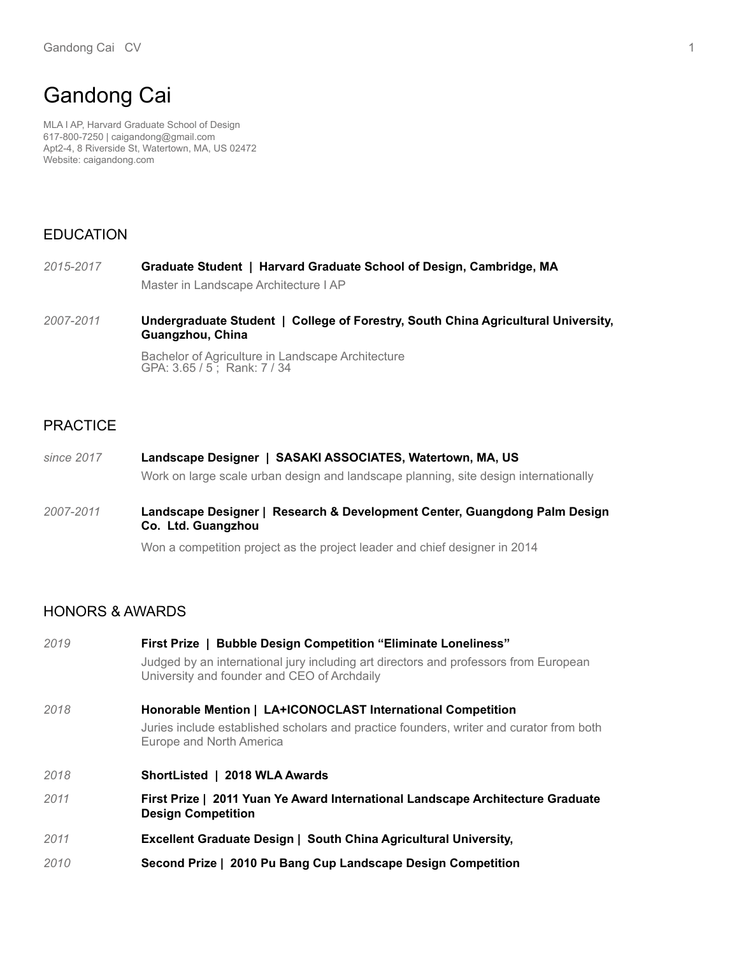# Gandong Cai

MLA I AP, Harvard Graduate School of Design 617-800-7250 | caigandong@gmail.com Apt2-4, 8 Riverside St, Watertown, MA, US 02472 Website: caigandong.com

## EDUCATION

- **Graduate Student | Harvard Graduate School of Design, Cambridge, MA** Master in Landscape Architecture I AP *2015-2017*
- **Undergraduate Student | College of Forestry, South China Agricultural University, Guangzhou, China** *2007-2011*

Bachelor of Agriculture in Landscape Architecture GPA: 3.65 / 5 ; Rank: 7 / 34

### PRACTICE

- **Landscape Designer | SASAKI ASSOCIATES, Watertown, MA, US** Work on large scale urban design and landscape planning, site design internationally *since 2017*
- **Landscape Designer | Research & Development Center, Guangdong Palm Design Co. Ltd. Guangzhou** *2007-2011*

Won a competition project as the project leader and chief designer in 2014

### HONORS & AWARDS

| 2019 | First Prize   Bubble Design Competition "Eliminate Loneliness"                                                                      |
|------|-------------------------------------------------------------------------------------------------------------------------------------|
|      | Judged by an international jury including art directors and professors from European<br>University and founder and CEO of Archdaily |
| 2018 | Honorable Mention   LA+ICONOCLAST International Competition                                                                         |
|      | Juries include established scholars and practice founders, writer and curator from both<br>Europe and North America                 |
| 2018 | ShortListed   2018 WLA Awards                                                                                                       |
| 2011 | First Prize   2011 Yuan Ye Award International Landscape Architecture Graduate<br><b>Design Competition</b>                         |
|      |                                                                                                                                     |

- **Excellent Graduate Design | South China Agricultural University,** *2011*
- **Second Prize | 2010 Pu Bang Cup Landscape Design Competition**  *2010*